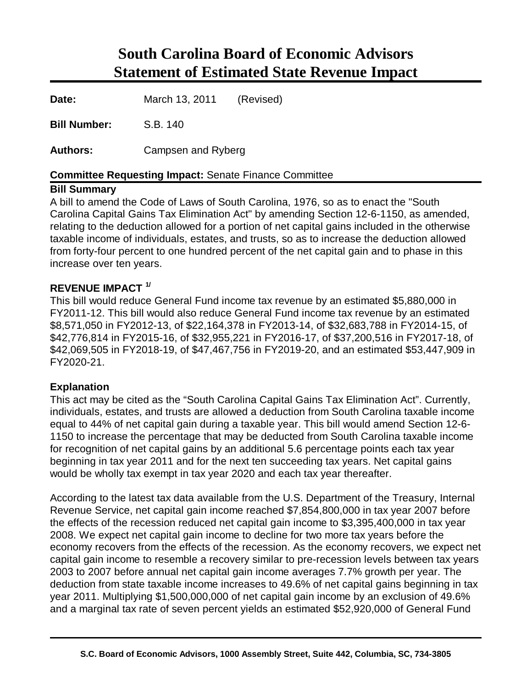# **South Carolina Board of Economic Advisors Statement of Estimated State Revenue Impact**

I **Date:** March 13, 2011 (Revised)

**Bill Number:** S.B. 140

**Authors:** Campsen and Ryberg

### **Committee Requesting Impact:** Senate Finance Committee

#### **Bill Summary**

A bill to amend the Code of Laws of South Carolina, 1976, so as to enact the "South Carolina Capital Gains Tax Elimination Act" by amending Section 12-6-1150, as amended, relating to the deduction allowed for a portion of net capital gains included in the otherwise taxable income of individuals, estates, and trusts, so as to increase the deduction allowed from forty-four percent to one hundred percent of the net capital gain and to phase in this increase over ten years.

### **REVENUE IMPACT 1/**

This bill would reduce General Fund income tax revenue by an estimated \$5,880,000 in FY2011-12. This bill would also reduce General Fund income tax revenue by an estimated \$8,571,050 in FY2012-13, of \$22,164,378 in FY2013-14, of \$32,683,788 in FY2014-15, of \$42,776,814 in FY2015-16, of \$32,955,221 in FY2016-17, of \$37,200,516 in FY2017-18, of \$42,069,505 in FY2018-19, of \$47,467,756 in FY2019-20, and an estimated \$53,447,909 in FY2020-21.

### **Explanation**

This act may be cited as the "South Carolina Capital Gains Tax Elimination Act". Currently, individuals, estates, and trusts are allowed a deduction from South Carolina taxable income equal to 44% of net capital gain during a taxable year. This bill would amend Section 12-6- 1150 to increase the percentage that may be deducted from South Carolina taxable income for recognition of net capital gains by an additional 5.6 percentage points each tax year beginning in tax year 2011 and for the next ten succeeding tax years. Net capital gains would be wholly tax exempt in tax year 2020 and each tax year thereafter.

According to the latest tax data available from the U.S. Department of the Treasury, Internal Revenue Service, net capital gain income reached \$7,854,800,000 in tax year 2007 before the effects of the recession reduced net capital gain income to \$3,395,400,000 in tax year 2008. We expect net capital gain income to decline for two more tax years before the economy recovers from the effects of the recession. As the economy recovers, we expect net capital gain income to resemble a recovery similar to pre-recession levels between tax years 2003 to 2007 before annual net capital gain income averages 7.7% growth per year. The deduction from state taxable income increases to 49.6% of net capital gains beginning in tax year 2011. Multiplying \$1,500,000,000 of net capital gain income by an exclusion of 49.6% and a marginal tax rate of seven percent yields an estimated \$52,920,000 of General Fund